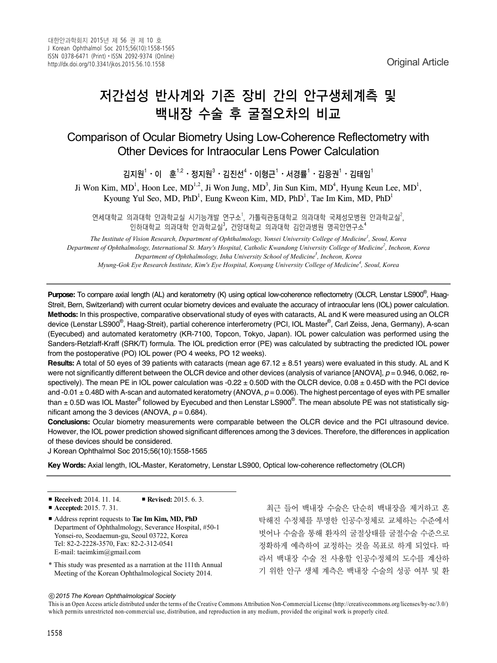# 저간섭성 반사계와 기존 장비 간의 안구생체계측 및 백내장 수술 후 굴절오차의 비교

# Comparison of Ocular Biometry Using Low-Coherence Reflectometry with Other Devices for Intraocular Lens Power Calculation

김지원 $^1\cdot$ 이  $\bar{\mathfrak{S}}^{1,2}\cdot$  정지원 $^3\cdot$  김진선 $^4\cdot$ 이형근 $^1\cdot$ 서경률 $^1\cdot$ 김응권 $^1\cdot$ 김태임 $^1$ 

Ji Won Kim, MD<sup>1</sup>, Hoon Lee, MD<sup>1,2</sup>, Ji Won Jung, MD<sup>3</sup>, Jin Sun Kim, MD<sup>4</sup>, Hyung Keun Lee, MD<sup>1</sup>, Kyoung Yul Seo, MD, PhD<sup>1</sup>, Eung Kweon Kim, MD, PhD<sup>1</sup>, Tae Im Kim, MD, PhD<sup>1</sup>

연세대학교 의과대학 안과학교실 시기능개발 연구소<sup>1</sup>, 가톨릭관동대학교 의과대학 국제성모병원 안과학교실<sup>2</sup>, 인하대학교 의과대학 안과학교실<sup>3</sup>, 건양대학교 의과대학 김안과병원 명곡안연구소 $^4$ 

*The Institute of Vision Research, Department of Ophthalmology, Yonsei University College of Medicine<sup>1</sup> , Seoul, Korea Department of Ophthalmology, International St. Mary's Hospital, Catholic Kwandong University College of Medicine2 , Incheon, Korea Department of Ophthalmology, Inha University School of Medicine3 , Incheon, Korea Myung-Gok Eye Research Institute, Kim's Eye Hospital, Konyang University College of Medicine<sup>4</sup> , Seoul, Korea*

Purpose: To compare axial length (AL) and keratometry (K) using optical low-coherence reflectometry (OLCR, Lenstar LS900<sup>®</sup>, Haag-Streit, Bern, Switzerland) with current ocular biometry devices and evaluate the accuracy of intraocular lens (IOL) power calculation. **Methods:** In this prospective, comparative observational study of eyes with cataracts, AL and K were measured using an OLCR device (Lenstar LS900<sup>®</sup>, Haag-Streit), partial coherence interferometry (PCI, IOL Master<sup>®</sup>, Carl Zeiss, Jena, Germany), A-scan (Eyecubed) and automated keratometry (KR-7100, Topcon, Tokyo, Japan). IOL power calculation was performed using the Sanders-Retzlaff-Kraff (SRK/T) formula. The IOL prediction error (PE) was calculated by subtracting the predicted IOL power from the postoperative (PO) IOL power (PO 4 weeks, PO 12 weeks).

**Results:** A total of 50 eyes of 39 patients with cataracts (mean age 67.12 ± 8.51 years) were evaluated in this study. AL and K were not significantly different between the OLCR device and other devices (analysis of variance [ANOVA], *p* = 0.946, 0.062, respectively). The mean PE in IOL power calculation was  $-0.22 \pm 0.50$  with the OLCR device,  $0.08 \pm 0.45$  D with the PCI device and  $-0.01 \pm 0.48$ D with A-scan and automated keratometry (ANOVA,  $p = 0.006$ ). The highest percentage of eyes with PE smaller than  $\pm$  0.5D was IOL Master® followed by Eyecubed and then Lenstar LS900<sup>®</sup>. The mean absolute PE was not statistically significant among the 3 devices (ANOVA,  $p = 0.684$ ).

**Conclusions:** Ocular biometry measurements were comparable between the OLCR device and the PCI ultrasound device. However, the IOL power prediction showed significant differences among the 3 devices. Therefore, the differences in application of these devices should be considered.

J Korean Ophthalmol Soc 2015;56(10):1558-1565

**Key Words:** Axial length, IOL-Master, Keratometry, Lenstar LS900, Optical low-coherence reflectometry (OLCR)

■ **Received:** 2014. 11. 14. ■ **Revised:** 2015. 6. 3.

■ **Accepted:** 2015. 7. 31.

- Address reprint requests to **Tae Im Kim, MD, PhD** Department of Ophthalmology, Severance Hospital, #50-1 Yonsei-ro, Seodaemun-gu, Seoul 03722, Korea Tel: 82-2-2228-3570, Fax: 82-2-312-0541 E-mail: taeimkim@gmail.com
- \* This study was presented as a narration at the 111th Annual Meeting of the Korean Ophthalmological Society 2014.

최근 들어 백내장 수술은 단순히 백내장을 제거하고 혼 탁해진 수정체를 투명한 인공수정체로 교체하는 수준에서 벗어나 수술을 통해 환자의 굴절상태를 굴절수술 수준으로 정확하게 예측하여 교정하는 것을 목표로 하게 되었다. 따 라서 백내장 수술 전 사용할 인공수정체의 도수를 계산하 기 위한 안구 생체 계측은 백내장 수술의 성공 여부 및 환

ⓒ*2015 The Korean Ophthalmological Society*

This is an Open Access article distributed under the terms of the Creative Commons Attribution Non-Commercial License (http://creativecommons.org/licenses/by-nc/3.0/) which permits unrestricted non-commercial use, distribution, and reproduction in any medium, provided the original work is properly cited.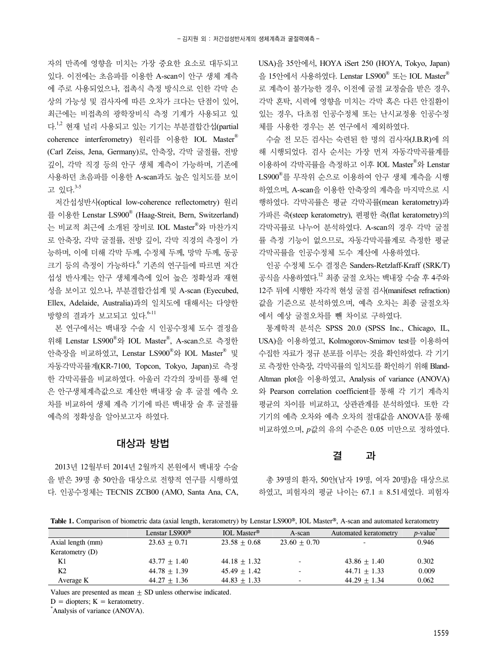자의 만족에 영향을 미치는 가장 중요한 요소로 대두되고 있다. 이전에는 초음파를 이용한 A-scan이 안구 생체 계측 에 주로 사용되었으나, 접촉식 측정 방식으로 인한 각막 손 상의 가능성 및 검사자에 따른 오차가 크다는 단점이 있어, 최근에는 비접촉의 광학장비식 측정 기계가 사용되고 있 다.<sup>1,2</sup> 현재 널리 사용되고 있는 기기는 부분결합간섭(partial coherence interferometry) 원리를 이용한 IOL Master® (Carl Zeiss, Jena, Germany)로, 안축장, 각막 굴절률, 전방 깊이, 각막 직경 등의 안구 생체 계측이 가능하며, 기존에 사용하던 초음파를 이용한 A-scan과도 높은 일치도를 보이 고 있다. 3-5

저간섭성반사(optical low-coherence reflectometry) 원리 를 이용한 Lenstar LS900® (Haag-Streit, Bern, Switzerland) 는 비교적 최근에 소개된 장비로 IOL Master®와 마찬가지 로 안축장, 각막 굴절률, 전방 깊이, 각막 직경의 측정이 가 능하며, 이에 더해 각막 두께, 수정체 두께, 망막 두께, 동공 크기 등의 측정이 가능하다.<sup>6</sup> 기존의 연구들에 따르면 저간 섭성 반사계는 안구 생체계측에 있어 높은 정확성과 재현 성을 보이고 있으나, 부분결합간섭계 및 A-scan (Eyecubed, Ellex, Adelaide, Australia)과의 일치도에 대해서는 다양한 방향의 결과가 보고되고 있다.<sup>6-11</sup>

본 연구에서는 백내장 수술 시 인공수정체 도수 결정을 위해 Lenstar LS900® 와 IOL Master® , A-scan으로 측정한 안축장을 비교하였고, Lenstar LS900® 와 IOL Master® 및 자동각막곡률계(KR-7100, Topcon, Tokyo, Japan)로 측정 한 각막곡률을 비교하였다. 아울러 각각의 장비를 통해 얻 은 안구생체계측값으로 계산한 백내장 술 후 굴절 예측 오 차를 비교하여 생체 계측 기기에 따른 백내장 술 후 굴절률 예측의 정확성을 알아보고자 하였다.

## 대상과 방법

2013년 12월부터 2014년 2월까지 본원에서 백내장 수술 을 받은 39명 총 50안을 대상으로 전향적 연구를 시행하였 다. 인공수정체는 TECNIS ZCB00 (AMO, Santa Ana, CA, USA)을 35안에서, HOYA iSert 250 (HOYA, Tokyo, Japan) 을 15안에서 사용하였다. Lenstar LS900® 또는 IOL Master® 로 계측이 불가능한 경우, 이전에 굴절 교정술을 받은 경우, 각막 혼탁, 시력에 영향을 미치는 각막 혹은 다른 안질환이 있는 경우, 다초점 인공수정체 또는 난시교정용 인공수정 체를 사용한 경우는 본 연구에서 제외하였다.

수술 전 모든 검사는 숙련된 한 명의 검사자(J.B.R)에 의 해 시행되었다. 검사 순서는 가장 먼저 자동각막곡률계를 이용하여 각막곡률을 측정하고 이후 IOL Master® 와 Lenstar LS900® 를 무작위 순으로 이용하여 안구 생체 계측을 시행 하였으며, A-scan을 이용한 안축장의 계측을 마지막으로 시 행하였다. 각막곡률은 평균 각막곡률(mean keratometry)과 가파른 축(steep keratometry), 편평한 축(flat keratometry)의 각막곡률로 나누어 분석하였다. A-scan의 경우 각막 굴절 률 측정 기능이 없으므로, 자동각막곡률계로 측정한 평균 각막곡률을 인공수정체 도수 계산에 사용하였다.

인공 수정체 도수 결정은 Sanders-Retzlaff-Kraff (SRK/T) 공식을 사용하였다.<sup>12</sup> 최종 굴절 오차는 백내장 수술 후 4주와 12주 뒤에 시행한 자각적 현성 굴절 검사(manifeset refraction) 값을 기준으로 분석하였으며, 예측 오차는 최종 굴절오차 에서 예상 굴절오차를 뺀 차이로 구하였다.

통계학적 분석은 SPSS 20.0 (SPSS Inc., Chicago, IL, USA)을 이용하였고, Kolmogorov-Smirnov test를 이용하여 수집한 자료가 정규 분포를 이루는 것을 확인하였다. 각 기기 로 측정한 안축장, 각막곡률의 일치도를 확인하기 위해 Bland-Altman plot을 이용하였고, Analysis of variance (ANOVA) 와 Pearson correlation coefficient를 통해 각 기기 계측치 평균의 차이를 비교하고, 상관관계를 분석하였다. 또한 각 기기의 예측 오차와 예측 오차의 절대값을 ANOVA를 통해 비교하였으며, *p*값의 유의 수준은 0.05 미만으로 정하였다.

### 결 과

총 39명의 환자, 50안(남자 19명, 여자 20명)을 대상으로 하였고, 피험자의 평균 나이는 67.1 ± 8.51세였다. 피험자

|  |  |  |  |  |  |  |  |  | Table 1. Comparison of biometric data (axial length, keratometry) by Lenstar LS900®, IOL Master®, A-scan and automated keratometry |  |  |  |  |  |
|--|--|--|--|--|--|--|--|--|------------------------------------------------------------------------------------------------------------------------------------|--|--|--|--|--|
|--|--|--|--|--|--|--|--|--|------------------------------------------------------------------------------------------------------------------------------------|--|--|--|--|--|

|                   | Lenstar LS900® | IOL Master <sup>®</sup> | A-scan         | Automated keratometry | $p$ -value |
|-------------------|----------------|-------------------------|----------------|-----------------------|------------|
| Axial length (mm) | $23.63 + 0.71$ | $23.58 + 0.68$          | $23.60 + 0.70$ |                       | 0.946      |
| Keratometry $(D)$ |                |                         |                |                       |            |
| K1                | $43.77 + 1.40$ | $44.18 + 1.32$          |                | $43.86 + 1.40$        | 0.302      |
| K <sub>2</sub>    | $44.78 + 1.39$ | $45.49 + 1.42$          |                | $44.71 + 1.33$        | 0.009      |
| Average K         | $44.27 + 1.36$ | $44.83 + 1.33$          |                | $44.29 + 1.34$        | 0.062      |

Values are presented as mean  $+$  SD unless otherwise indicated.

 $D =$  diopters;  $K =$  keratometry.

\* Analysis of variance (ANOVA).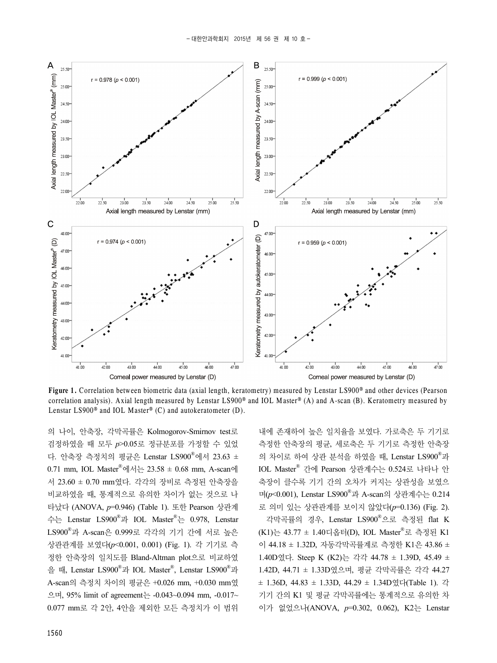

**Figure 1.** Correlation between biometric data (axial length, keratometry) measured by Lenstar LS900® and other devices (Pearson correlation analysis). Axial length measured by Lenstar LS900<sup>®</sup> and IOL Master<sup>®</sup> (A) and A-scan (B). Keratometry measured by Lenstar LS900® and IOL Master® (C) and autokeratometer (D).

의 나이, 안축장, 각막곡률은 Kolmogorov-Smirnov test로 검정하였을 때 모두 *p*>0.05로 정규분포를 가정할 수 있었 다. 안축장 측정치의 평균은 Lenstar LS900® 에서 23.63 ± 0.71 mm, IOL Master®에서는 23.58 ± 0.68 mm, A-scan에 서 23.60 ± 0.70 mm였다. 각각의 장비로 측정된 안축장을 비교하였을 때, 통계적으로 유의한 차이가 없는 것으로 나 타났다 (ANOVA, *p*=0.946) (Table 1). 또한 Pearson 상관계 수는 Lenstar LS900® 과 IOL Master® 는 0.978, Lenstar LS900® 과 A-scan은 0.999로 각각의 기기 간에 서로 높은 상관관계를 보였다(*p*<0.001, 0.001) (Fig. 1). 각 기기로 측 정한 안축장의 일치도를 Bland-Altman plot으로 비교하였 을 때, Lenstar LS900® 과 IOL Master® , Lenstar LS900® 과 A-scan의 측정치 차이의 평균은 +0.026 mm, +0.030 mm였 으며, 95% limit of agreement는 -0.043~0.094 mm, -0.017~ 0.077 mm로 각 2안, 4안을 제외한 모든 측정치가 이 범위

내에 존재하여 높은 일치율을 보였다. 가로축은 두 기기로 측정한 안축장의 평균, 세로축은 두 기기로 측정한 안축장 의 차이로 하여 상관 분석을 하였을 때, Lenstar LS900® 과 IOL Master® 간에 Pearson 상관계수는 0.524로 나타나 안 축장이 클수록 기기 간의 오차가 커지는 상관성을 보였으 며(*p*<0.001), Lenstar LS900® 과 A-scan의 상관계수는 0.214 로 의미 있는 상관관계를 보이지 않았다(*p*=0.136) (Fig. 2).

각막곡률의 경우, Lenstar LS900® 으로 측정된 flat K (K1)는 43.77 ± 1.40디옵터(D), IOL Master® 로 측정된 K1 이 44.18 ± 1.32D, 자동각막곡률계로 측정한 K1은 43.86 ± 1.40D였다. Steep K (K2)는 각각 44.78 ± 1.39D, 45.49 ± 1.42D, 44.71 ± 1.33D였으며, 평균 각막곡률은 각각 44.27  $\pm$  1.36D, 44.83  $\pm$  1.33D, 44.29  $\pm$  1.34D였다(Table 1). 각 기기 간의 K1 및 평균 각막곡률에는 통계적으로 유의한 차 이가 없었으나(ANOVA, *p*=0.302, 0.062), K2는 Lenstar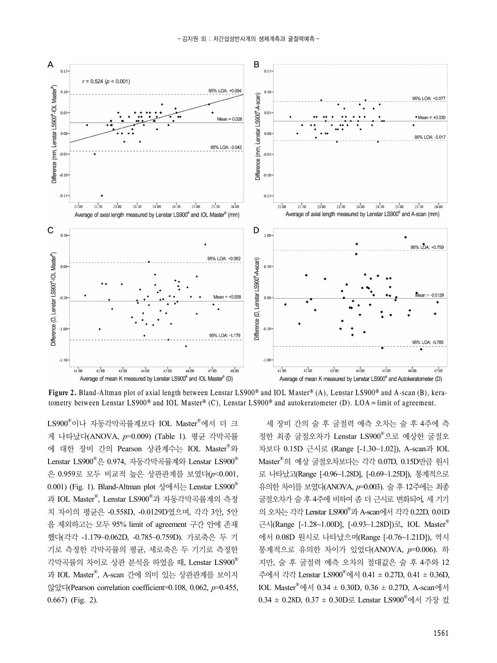

**Figure 2.** Bland-Altman plot of axial length between Lenstar LS900® and IOL Master® (A), Lenstar LS900® and A-scan (B), keratometry between Lenstar LS900® and IOL Master® (C), Lenstar LS900® and autokeratometer (D). LOA=limit of agreement.

LS900® 이나 자동각막곡률계보다 IOL Master® 에서 더 크 게 나타났다(ANOVA, *p*=0.009) (Table 1). 평균 각막곡률 에 대한 장비 간의 Pearson 상관계수는 IOL Master® 와 Lenstar LS900®은 0.974, 자동각막곡률계와 Lenstar LS900® 은 0.959로 모두 비교적 높은 상관관계를 보였다(*p*<0.001, 0.001) (Fig. 1). Bland-Altman plot 상에서는 Lenstar LS900<sup>®</sup> 과 IOL Master®, Lenstar LS900®과 자동각막곡률계의 측정 치 차이의 평균은 -0.558D, -0.0129D였으며, 각각 3안, 5안 을 제외하고는 모두 95% limit of agreement 구간 안에 존재 했다(각각 -1.179~0.062D, -0.785~0.759D). 가로축은 두 기 기로 측정한 각막곡률의 평균, 세로축은 두 기기로 측정한 각막곡률의 차이로 상관 분석을 하였을 때, Lenstar LS900® 과 IOL Master® , A-scan 간에 의미 있는 상관관계를 보이지 않았다(Pearson correlation coefficient=0.108, 0.062, *p*=0.455, 0.667) (Fig. 2).

세 장비 간의 술 후 굴절력 예측 오차는 술 후 4주에 측 정한 최종 굴절오차가 Lenstar LS900® 으로 예상한 굴절오 차보다 0.15D 근시로 (Range [-1.30~1.02]), A-scan과 IOL Master® 의 예상 굴절오차보다는 각각 0.07D, 0.15D만큼 원시 로 나타났고(Range [-0.96~1.28D], [-0.69~1.25D]), 통계적으로 유의한 차이를 보였다(ANOVA, *p*=0.003). 술 후 12주에는 최종 굴절오차가 술 후 4주에 비하여 좀 더 근시로 변화되어, 세 기기 의 오차는 각각 Lenstar LS900® 과 A-scan에서 각각 0.22D, 0.01D 근시(Range [-1.28~1.00D], [-0.93~1.28D])로, IOL Master® 에서 0.08D 원시로 나타났으며(Range [-0.76~1.21D]), 역시 통계적으로 유의한 차이가 있었다(ANOVA, *p*=0.006). 하 지만, 술 후 굴절력 예측 오차의 절대값은 술 후 4주와 12 주에서 각각 Lenstar LS900® 에서 0.41 ± 0.27D, 0.41 ± 0.36D, IOL Master®에서 0.34 ± 0.30D, 0.36 ± 0.27D, A-scan에서 0.34 ± 0.28D, 0.37 ± 0.30D로 Lenstar LS900®에서 가장 컸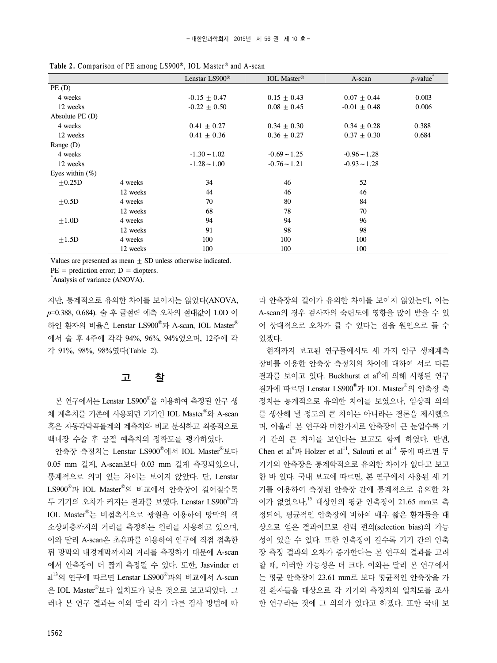|                     |          | Lenstar LS900 <sup>®</sup> | <b>IOL</b> Master <sup>®</sup> | A-scan         | $p$ -value |
|---------------------|----------|----------------------------|--------------------------------|----------------|------------|
| PE(D)               |          |                            |                                |                |            |
| 4 weeks             |          | $-0.15 + 0.47$             | $0.15 \pm 0.43$                | $0.07 + 0.44$  | 0.003      |
| 12 weeks            |          | $-0.22 + 0.50$             | $0.08 + 0.45$                  | $-0.01 + 0.48$ | 0.006      |
| Absolute $PE$ $(D)$ |          |                            |                                |                |            |
| 4 weeks             |          | $0.41 \pm 0.27$            | $0.34 + 0.30$                  | $0.34 + 0.28$  | 0.388      |
| 12 weeks            |          | $0.41 + 0.36$              | $0.36 + 0.27$                  | $0.37 + 0.30$  | 0.684      |
| Range (D)           |          |                            |                                |                |            |
| 4 weeks             |          | $-1.30 - 1.02$             | $-0.69 - 1.25$                 | $-0.96 - 1.28$ |            |
| 12 weeks            |          | $-1.28 - 1.00$             | $-0.76 - 1.21$                 | $-0.93 - 1.28$ |            |
| Eyes within $(\%)$  |          |                            |                                |                |            |
| $\pm 0.25D$         | 4 weeks  | 34                         | 46                             | 52             |            |
|                     | 12 weeks | 44                         | 46                             | 46             |            |
| $\pm 0.5D$          | 4 weeks  | 70                         | 80                             | 84             |            |
|                     | 12 weeks | 68                         | 78                             | 70             |            |
| $+1.0D$             | 4 weeks  | 94                         | 94                             | 96             |            |
|                     | 12 weeks | 91                         | 98                             | 98             |            |
| $+1.5D$             | 4 weeks  | 100                        | 100                            | 100            |            |
|                     | 12 weeks | 100                        | 100                            | 100            |            |

**Table 2.** Comparison of PE among LS900®, IOL Master® and A-scan

Values are presented as mean  $\pm$  SD unless otherwise indicated.

 $PE = prediction error$ ;  $D = diopters$ .

\* Analysis of variance (ANOVA).

지만, 통계적으로 유의한 차이를 보이지는 않았다(ANOVA, *p*=0.388, 0.684). 술 후 굴절력 예측 오차의 절대값이 1.0D 이 하인 환자의 비율은 Lenstar LS900® 과 A-scan, IOL Master® 에서 술 후 4주에 각각 94%, 96%, 94%였으며, 12주에 각 각 91%, 98%, 98%였다(Table 2).

### 고 찰

본 연구에서는 Lenstar LS900®을 이용하여 측정된 안구 생 체 계측치를 기존에 사용되던 기기인 IOL Master®와 A-scan 혹은 자동각막곡률계의 계측치와 비교 분석하고 최종적으로 백내장 수술 후 굴절 예측치의 정확도를 평가하였다.

안축장 측정치는 Lenstar LS900® 에서 IOL Master® 보다 0.05 mm 길게, A-scan보다 0.03 mm 길게 측정되었으나, 통계적으로 의미 있는 차이는 보이지 않았다. 단, Lenstar LS900® 과 IOL Master® 의 비교에서 안축장이 길어질수록 두 기기의 오차가 커지는 결과를 보였다. Lenstar LS900®과 IOL Master® 는 비접촉식으로 광원을 이용하여 망막의 색 소상피층까지의 거리를 측정하는 원리를 사용하고 있으며, 이와 달리 A-scan은 초음파를 이용하여 안구에 직접 접촉한 뒤 망막의 내경계막까지의 거리를 측정하기 때문에 A-scan 에서 안축장이 더 짧게 측정될 수 있다. 또한, Jasvinder et al<sup>13</sup>의 연구에 따르면 Lenstar LS900®과의 비교에서 A-scan 은 IOL Master® 보다 일치도가 낮은 것으로 보고되었다. 그 러나 본 연구 결과는 이와 달리 각기 다른 검사 방법에 따

라 안축장의 길이가 유의한 차이를 보이지 않았는데, 이는 A-scan의 경우 검사자의 숙련도에 영향을 많이 받을 수 있 어 상대적으로 오차가 클 수 있다는 점을 원인으로 들 수 있겠다.

현재까지 보고된 연구들에서도 세 가지 안구 생체계측 장비를 이용한 안축장 측정치의 차이에 대하여 서로 다른 결과를 보이고 있다. Buckhurst et al<sup>6</sup>에 의해 시행된 연구 결과에 따르면 Lenstar LS900® 과 IOL Master® 의 안축장 측 정치는 통계적으로 유의한 차이를 보였으나, 임상적 의의 를 생산해 낼 정도의 큰 차이는 아니라는 결론을 제시했으 며, 아울러 본 연구와 마찬가지로 안축장이 큰 눈일수록 기 기 간의 큰 차이를 보인다는 보고도 함께 하였다. 반면, Chen et al $^9$ 과 Holzer et al $^{11}$ , Salouti et al $^{14}$  등에 따르면 두 기기의 안축장은 통계학적으로 유의한 차이가 없다고 보고 한 바 있다. 국내 보고에 따르면, 본 연구에서 사용된 세 기 기를 이용하여 측정된 안축장 간에 통계적으로 유의한 차 이가 없었으나, <sup>15</sup> 대상안의 평균 안축장이 21.65 mm로 측 정되어, 평균적인 안축장에 비하여 매우 짧은 환자들을 대 상으로 얻은 결과이므로 선택 편의(selection bias)의 가능 성이 있을 수 있다. 또한 안축장이 길수록 기기 간의 안축 장 측정 결과의 오차가 증가한다는 본 연구의 결과를 고려 할 때, 이러한 가능성은 더 크다. 이와는 달리 본 연구에서 는 평균 안축장이 23.61 mm로 보다 평균적인 안축장을 가 진 환자들을 대상으로 각 기기의 측정치의 일치도를 조사 한 연구라는 것에 그 의의가 있다고 하겠다. 또한 국내 보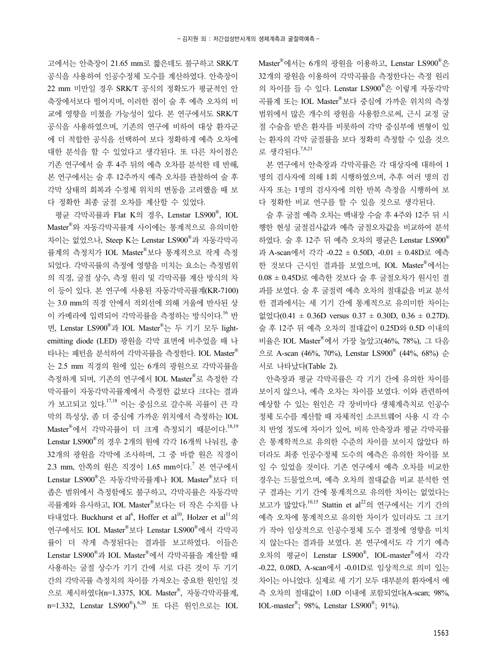고에서는 안축장이 21.65 mm로 짧은데도 불구하고 SRK/T 공식을 사용하여 인공수정체 도수를 계산하였다. 안축장이 22 mm 미만일 경우 SRK/T 공식의 정확도가 평균적인 안 축장에서보다 떨어지며, 이러한 점이 술 후 예측 오차의 비 교에 영향을 미쳤을 가능성이 있다. 본 연구에서도 SRK/T 공식을 사용하였으며, 기존의 연구에 비하여 대상 환자군 에 더 적합한 공식을 선택하여 보다 정확하게 예측 오차에 대한 분석을 할 수 있었다고 생각된다. 또 다른 차이점은 기존 연구에서 술 후 4주 뒤의 예측 오차를 분석한 데 반해, 본 연구에서는 술 후 12주까지 예측 오차를 관찰하여 술 후 각막 상태의 회복과 수정체 위치의 변동을 고려했을 때 보 다 정확한 최종 굴절 오차를 계산할 수 있었다.

평균 각막곡률과 Flat K의 경우, Lenstar LS900® , IOL Master® 와 자동각막곡률계 사이에는 통계적으로 유의미한 차이는 없었으나, Steep K는 Lenstar LS900® 과 자동각막곡 률계의 측정치가 IOL Master® 보다 통계적으로 작게 측정 되었다. 각막곡률의 측정에 영향을 미치는 요소는 측정범위 의 직경, 굴절 상수, 측정 원리 및 각막곡률 계산 방식의 차 이 등이 있다. 본 연구에 사용된 자동각막곡률계(KR-7100) 는 3.0 mm의 직경 안에서 적외선에 의해 거울에 반사된 상 이 카메라에 입력되어 각막곡률을 측정하는 방식이다. <sup>16</sup> 반 면, Lenstar LS900® 과 IOL Master® 는 두 기기 모두 lightemitting diode (LED) 광원을 각막 표면에 비추었을 때 나 타나는 패턴을 분석하여 각막곡률을 측정한다. IOL Master® 는 2.5 mm 직경의 원에 있는 6개의 광원으로 각막곡률을 측정하게 되며, 기존의 연구에서 IOL Master®로 측정한 각 막곡률이 자동각막곡률계에서 측정한 값보다 크다는 결과 가 보고되고 있다.<sup>17,18</sup> 이는 중심으로 갈수록 곡률이 큰 각 막의 특성상, 좀 더 중심에 가까운 위치에서 측정하는 IOL Master®에서 각막곡률이 더 크게 측정되기 때문이다.<sup>18,19</sup> Lenstar LS900® 의 경우 2개의 원에 각각 16개씩 나눠진, 총 32개의 광원을 각막에 조사하며, 그 중 바깥 원은 직경이 2.3 mm, 안쪽의 원은 직경이 1.65 mm이다.<sup>7</sup> 본 연구에서 Lenstar LS900® 은 자동각막곡률계나 IOL Master® 보다 더 좁은 범위에서 측정함에도 불구하고, 각막곡률은 자동각막 곡률계와 유사하고, IOL Master® 보다는 더 작은 수치를 나 타내었다. Buckhurst et al<sup>6</sup>, Hoffer et al<sup>10</sup>, Holzer et al<sup>11</sup>의 연구에서도 IOL Master®보다 Lenstar LS900®에서 각막곡 률이 더 작게 측정된다는 결과를 보고하였다. 이들은 Lenstar LS900® 과 IOL Master® 에서 각막곡률을 계산할 때 사용하는 굴절 상수가 기기 간에 서로 다른 것이 두 기기 간의 각막곡률 측정치의 차이를 가져오는 중요한 원인일 것 으로 제시하였다(n=1.3375, IOL Master® , 자동각막곡률계, n=1.332, Lenstar LS900®).<sup>6,20</sup> 또 다른 원인으로는 IOL

Master® 에서는 6개의 광원을 이용하고, Lenstar LS900® 은 32개의 광원을 이용하여 각막곡률을 측정한다는 측정 원리 의 차이를 들 수 있다. Lenstar LS900® 은 이렇게 자동각막 곡률계 또는 IOL Master® 보다 중심에 가까운 위치의 측정 범위에서 많은 개수의 광원을 사용함으로써, 근시 교정 굴 절 수술을 받은 환자를 비롯하여 각막 중심부에 변형이 있 는 환자의 각막 굴절률을 보다 정확히 측정할 수 있을 것으 로 생각된다.<sup>7,8,21</sup>

본 연구에서 안축장과 각막곡률은 각 대상자에 대하여 1 명의 검사자에 의해 1회 시행하였으며, 추후 여러 명의 검 사자 또는 1명의 검사자에 의한 반복 측정을 시행하여 보 다 정확한 비교 연구를 할 수 있을 것으로 생각된다.

술 후 굴절 예측 오차는 백내장 수술 후 4주와 12주 뒤 시 행한 현성 굴절검사값과 예측 굴절오차값을 비교하여 분석 하였다. 술 후 12주 뒤 예측 오차의 평균은 Lenstar LS900® 과 A-scan에서 각각 -0.22 ± 0.50D, -0.01 ± 0.48D로 예측 한 것보다 근시인 결과를 보였으며, IOL Master®에서는 0.08 ± 0.45D로 예측한 것보다 술 후 굴절오차가 원시인 결 과를 보였다. 술 후 굴절력 예측 오차의 절대값을 비교 분석 한 결과에서는 세 기기 간에 통계적으로 유의미한 차이는 없었다(0.41 ± 0.36D versus 0.37 ± 0.30D, 0.36 ± 0.27D). 술 후 12주 뒤 예측 오차의 절대값이 0.25D와 0.5D 이내의 비율은 IOL Master® 에서 가장 높았고(46%, 78%), 그 다음 으로 A-scan (46%, 70%), Lenstar LS900® (44%, 68%) 순 서로 나타났다(Table 2).

안축장과 평균 각막곡률은 각 기기 간에 유의한 차이를 보이지 않으나, 예측 오차는 차이를 보였다. 이와 관련하여 예상할 수 있는 원인은 각 장비마다 생체계측치로 인공수 정체 도수를 계산할 때 자체적인 소프트웨어 사용 시 각 수 치 반영 정도에 차이가 있어, 비록 안축장과 평균 각막곡률 은 통계학적으로 유의한 수준의 차이를 보이지 않았다 하 더라도 최종 인공수정체 도수의 예측은 유의한 차이를 보 일 수 있었을 것이다. 기존 연구에서 예측 오차를 비교한 경우는 드물었으며, 예측 오차의 절대값을 비교 분석한 연 구 결과는 기기 간에 통계적으로 유의한 차이는 없었다는 보고가 많았다.<sup>10,15</sup> Stattin et al<sup>22</sup>의 연구에서는 기기 간의 예측 오차에 통계적으로 유의한 차이가 있더라도 그 크기 가 작아 임상적으로 인공수정체 도수 결정에 영향을 미치 지 않는다는 결과를 보였다. 본 연구에서도 각 기기 예측 오차의 평균이 Lenstar LS900® , IOL-master® 에서 각각 -0.22, 0.08D, A-scan에서 -0.01D로 임상적으로 의미 있는 차이는 아니었다. 실제로 세 기기 모두 대부분의 환자에서 예 측 오차의 절대값이 1.0D 이내에 포함되었다(A-scan; 98%, IOL-master<sup>®</sup>; 98%, Lenstar LS900<sup>®</sup>; 91%).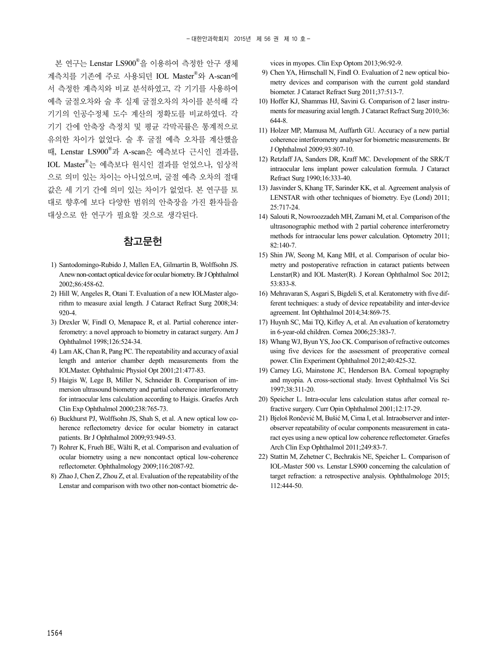본 연구는 Lenstar LS900®을 이용하여 측정한 안구 생체 계측치를 기존에 주로 사용되던 IOL Master®와 A-scan에 서 측정한 계측치와 비교 분석하였고, 각 기기를 사용하여 예측 굴절오차와 술 후 실제 굴절오차의 차이를 분석해 각 기기의 인공수정체 도수 계산의 정확도를 비교하였다. 각 기기 간에 안축장 측정치 및 평균 각막곡률은 통계적으로 유의한 차이가 없었다. 술 후 굴절 예측 오차를 계산했을 때, Lenstar LS900® 과 A-scan은 예측보다 근시인 결과를, IOL Master® 는 예측보다 원시인 결과를 얻었으나, 임상적 으로 의미 있는 차이는 아니었으며, 굴절 예측 오차의 절대 값은 세 기기 간에 의미 있는 차이가 없었다. 본 연구를 토 대로 향후에 보다 다양한 범위의 안축장을 가진 환자들을 대상으로 한 연구가 필요할 것으로 생각된다.

#### 참고문헌

- 1) Santodomingo-Rubido J, Mallen EA, Gilmartin B, Wolffsohn JS. A new non-contact optical device for ocular biometry. Br J Ophthalmol 2002;86:458-62.
- 2) Hill W, Angeles R, Otani T. Evaluation of a new IOLMaster algorithm to measure axial length. J Cataract Refract Surg 2008;34: 920-4.
- 3) Drexler W, Findl O, Menapace R, et al. Partial coherence interferometry: a novel approach to biometry in cataract surgery. Am J Ophthalmol 1998;126:524-34.
- 4) Lam AK, Chan R, Pang PC. The repeatability and accuracy of axial length and anterior chamber depth measurements from the IOLMaster. Ophthalmic Physiol Opt 2001;21:477-83.
- 5) Haigis W, Lege B, Miller N, Schneider B. Comparison of immersion ultrasound biometry and partial coherence interferometry for intraocular lens calculation according to Haigis. Graefes Arch Clin Exp Ophthalmol 2000;238:765-73.
- 6) Buckhurst PJ, Wolffsohn JS, Shah S, et al. A new optical low coherence reflectometry device for ocular biometry in cataract patients. Br J Ophthalmol 2009;93:949-53.
- 7) Rohrer K, Frueh BE, Wälti R, et al. Comparison and evaluation of ocular biometry using a new noncontact optical low-coherence reflectometer. Ophthalmology 2009;116:2087-92.
- 8) Zhao J, Chen Z, Zhou Z, et al. Evaluation of the repeatability of the Lenstar and comparison with two other non-contact biometric de-

vices in myopes. Clin Exp Optom 2013;96:92-9.

- 9) Chen YA, Hirnschall N, Findl O. Evaluation of 2 new optical biometry devices and comparison with the current gold standard biometer. J Cataract Refract Surg 2011;37:513-7.
- 10) Hoffer KJ, Shammas HJ, Savini G. Comparison of 2 laser instruments for measuring axial length. J Cataract Refract Surg 2010;36: 644-8.
- 11) Holzer MP, Mamusa M, Auffarth GU. Accuracy of a new partial coherence interferometry analyser for biometric measurements. Br J Ophthalmol 2009;93:807-10.
- 12) Retzlaff JA, Sanders DR, Kraff MC. Development of the SRK/T intraocular lens implant power calculation formula. J Cataract Refract Surg 1990;16:333-40.
- 13) Jasvinder S, Khang TF, Sarinder KK, et al. Agreement analysis of LENSTAR with other techniques of biometry. Eye (Lond) 2011; 25:717-24.
- 14) Salouti R, Nowroozzadeh MH, Zamani M, et al. Comparison of the ultrasonographic method with 2 partial coherence interferometry methods for intraocular lens power calculation. Optometry 2011; 82:140-7.
- 15) Shin JW, Seong M, Kang MH, et al. Comparison of ocular biometry and postoperative refraction in cataract patients between Lenstar(R) and IOL Master(R). J Korean Ophthalmol Soc 2012; 53:833-8.
- 16) Mehravaran S, Asgari S, Bigdeli S, et al. Keratometry with five different techniques: a study of device repeatability and inter-device agreement. Int Ophthalmol 2014;34:869-75.
- 17) Huynh SC, Mai TQ, Kifley A, et al. An evaluation of keratometry in 6-year-old children. Cornea 2006;25:383-7.
- 18) Whang WJ, Byun YS, Joo CK. Comparison of refractive outcomes using five devices for the assessment of preoperative corneal power. Clin Experiment Ophthalmol 2012;40:425-32.
- 19) Carney LG, Mainstone JC, Henderson BA. Corneal topography and myopia. A cross-sectional study. Invest Ophthalmol Vis Sci 1997;38:311-20.
- 20) Speicher L. Intra-ocular lens calculation status after corneal refractive surgery. Curr Opin Ophthalmol 2001;12:17-29.
- 21) Bjeloš Rončević M, Bušić M, Cima I, et al. Intraobserver and interobserver repeatability of ocular components measurement in cataract eyes using a new optical low coherence reflectometer. Graefes Arch Clin Exp Ophthalmol 2011;249:83-7.
- 22) Stattin M, Zehetner C, Bechrakis NE, Speicher L. Comparison of IOL-Master 500 vs. Lenstar LS900 concerning the calculation of target refraction: a retrospective analysis. Ophthalmologe 2015; 112:444-50.